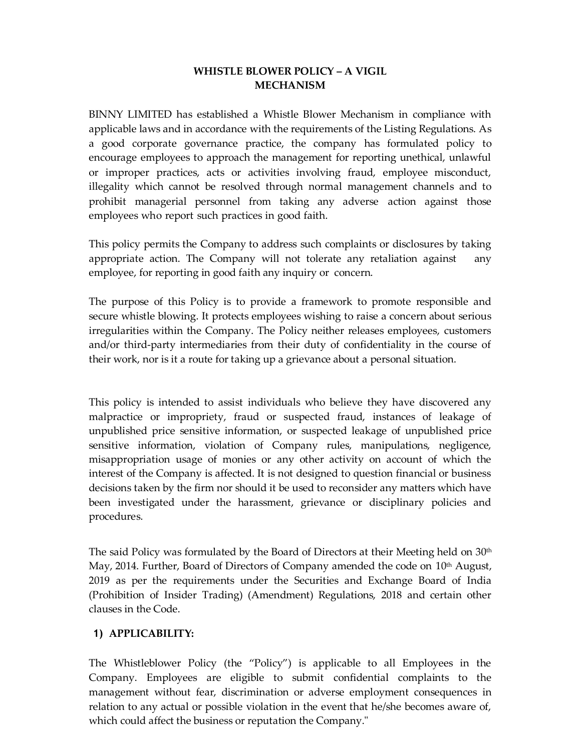# **WHISTLE BLOWER POLICY – A VIGIL MECHANISM**

BINNY LIMITED has established a Whistle Blower Mechanism in compliance with applicable laws and in accordance with the requirements of the Listing Regulations. As a good corporate governance practice, the company has formulated policy to encourage employees to approach the management for reporting unethical, unlawful or improper practices, acts or activities involving fraud, employee misconduct, illegality which cannot be resolved through normal management channels and to prohibit managerial personnel from taking any adverse action against those employees who report such practices in good faith.

This policy permits the Company to address such complaints or disclosures by taking appropriate action. The Company will not tolerate any retaliation against any employee, for reporting in good faith any inquiry or concern.

The purpose of this Policy is to provide a framework to promote responsible and secure whistle blowing. It protects employees wishing to raise a concern about serious irregularities within the Company. The Policy neither releases employees, customers and/or third-party intermediaries from their duty of confidentiality in the course of their work, nor is it a route for taking up a grievance about a personal situation.

This policy is intended to assist individuals who believe they have discovered any malpractice or impropriety, fraud or suspected fraud, instances of leakage of unpublished price sensitive information, or suspected leakage of unpublished price sensitive information, violation of Company rules, manipulations, negligence, misappropriation usage of monies or any other activity on account of which the interest of the Company is affected. It is not designed to question financial or business decisions taken by the firm nor should it be used to reconsider any matters which have been investigated under the harassment, grievance or disciplinary policies and procedures.

The said Policy was formulated by the Board of Directors at their Meeting held on  $30<sup>th</sup>$ May, 2014. Further, Board of Directors of Company amended the code on  $10<sup>th</sup>$  August, 2019 as per the requirements under the Securities and Exchange Board of India (Prohibition of Insider Trading) (Amendment) Regulations, 2018 and certain other clauses in the Code.

# **1) APPLICABILITY:**

The Whistleblower Policy (the "Policy") is applicable to all Employees in the Company. Employees are eligible to submit confidential complaints to the management without fear, discrimination or adverse employment consequences in relation to any actual or possible violation in the event that he/she becomes aware of, which could affect the business or reputation the Company."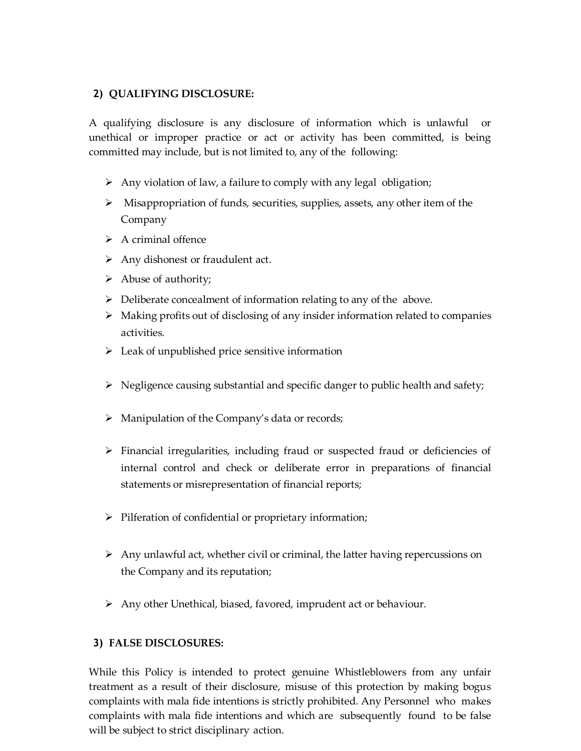#### **2) QUALIFYING DISCLOSURE:**

A qualifying disclosure is any disclosure of information which is unlawful or unethical or improper practice or act or activity has been committed, is being committed may include, but is not limited to, any of the following:

- $\triangleright$  Any violation of law, a failure to comply with any legal obligation;
- $\triangleright$  Misappropriation of funds, securities, supplies, assets, any other item of the Company
- $\triangleright$  A criminal offence
- $\triangleright$  Any dishonest or fraudulent act.
- $\triangleright$  Abuse of authority;
- $\triangleright$  Deliberate concealment of information relating to any of the above.
- $\triangleright$  Making profits out of disclosing of any insider information related to companies activities.
- $\triangleright$  Leak of unpublished price sensitive information
- $\triangleright$  Negligence causing substantial and specific danger to public health and safety;
- $\triangleright$  Manipulation of the Company's data or records;
- Financial irregularities, including fraud or suspected fraud or deficiencies of internal control and check or deliberate error in preparations of financial statements or misrepresentation of financial reports;
- $\triangleright$  Pilferation of confidential or proprietary information;
- $\triangleright$  Any unlawful act, whether civil or criminal, the latter having repercussions on the Company and its reputation;
- $\triangleright$  Any other Unethical, biased, favored, imprudent act or behaviour.

#### **3) FALSE DISCLOSURES:**

While this Policy is intended to protect genuine Whistleblowers from any unfair treatment as a result of their disclosure, misuse of this protection by making bogus complaints with mala fide intentions is strictly prohibited. Any Personnel who makes complaints with mala fide intentions and which are subsequently found to be false will be subject to strict disciplinary action.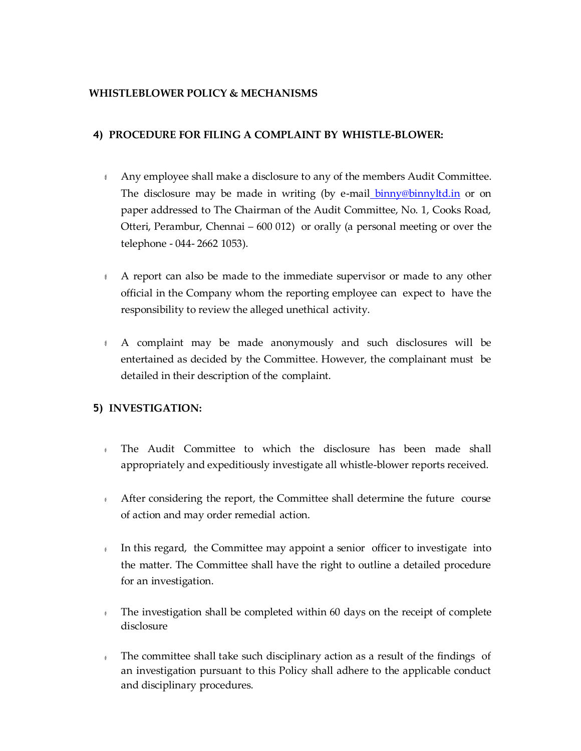#### **WHISTLEBLOWER POLICY & MECHANISMS**

#### **4) PROCEDURE FOR FILING A COMPLAINT BY WHISTLE-BLOWER:**

- Any employee shall make a disclosure to any of the members Audit Committee. The disclosure may be made in writing (by e-mail [binny@binnyltd.in](mailto:binny@binnyltd.in) or on paper addressed to The Chairman of the Audit Committee, No. 1, Cooks Road, Otteri, Perambur, Chennai – 600 012) or orally (a personal meeting or over the telephone - 044- 2662 1053).
- A report can also be made to the immediate supervisor or made to any other official in the Company whom the reporting employee can expect to have the responsibility to review the alleged unethical activity.
- A complaint may be made anonymously and such disclosures will be entertained as decided by the Committee. However, the complainant must be detailed in their description of the complaint.

# **5) INVESTIGATION:**

- $\theta$ The Audit Committee to which the disclosure has been made shall appropriately and expeditiously investigate all whistle-blower reports received.
- After considering the report, the Committee shall determine the future course of action and may order remedial action.
- In this regard, the Committee may appoint a senior officer to investigate into  $\theta$ the matter. The Committee shall have the right to outline a detailed procedure for an investigation.
- The investigation shall be completed within 60 days on the receipt of complete  $\theta$ disclosure
- The committee shall take such disciplinary action as a result of the findings of  $\theta$ an investigation pursuant to this Policy shall adhere to the applicable conduct and disciplinary procedures.